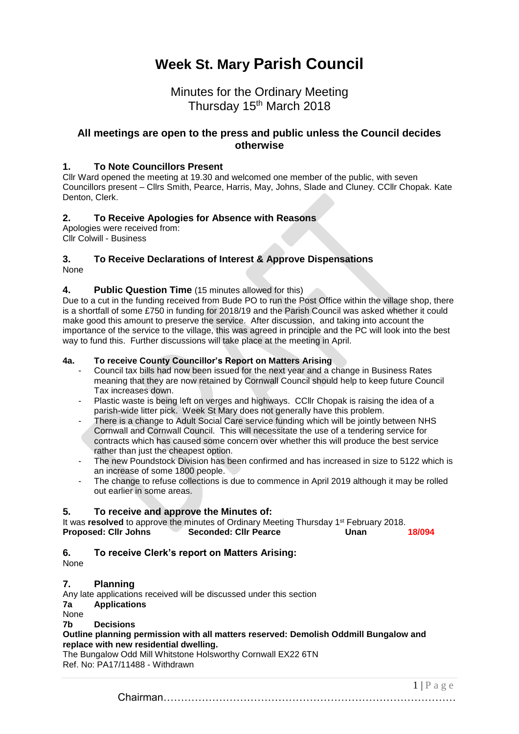# **Week St. Mary Parish Council**

# Minutes for the Ordinary Meeting Thursday 15<sup>th</sup> March 2018

# **All meetings are open to the press and public unless the Council decides otherwise**

# **1. To Note Councillors Present**

Cllr Ward opened the meeting at 19.30 and welcomed one member of the public, with seven Councillors present – Cllrs Smith, Pearce, Harris, May, Johns, Slade and Cluney. CCllr Chopak. Kate Denton, Clerk.

# **2. To Receive Apologies for Absence with Reasons**

Apologies were received from: Cllr Colwill - Business

#### **3. To Receive Declarations of Interest & Approve Dispensations** None

# **4. Public Question Time** (15 minutes allowed for this)

Due to a cut in the funding received from Bude PO to run the Post Office within the village shop, there is a shortfall of some £750 in funding for 2018/19 and the Parish Council was asked whether it could make good this amount to preserve the service. After discussion, and taking into account the importance of the service to the village, this was agreed in principle and the PC will look into the best way to fund this. Further discussions will take place at the meeting in April.

#### **4a. To receive County Councillor's Report on Matters Arising**

- Council tax bills had now been issued for the next year and a change in Business Rates meaning that they are now retained by Cornwall Council should help to keep future Council Tax increases down.
- Plastic waste is being left on verges and highways. CCIIr Chopak is raising the idea of a parish-wide litter pick. Week St Mary does not generally have this problem.
- There is a change to Adult Social Care service funding which will be jointly between NHS Cornwall and Cornwall Council. This will necessitate the use of a tendering service for contracts which has caused some concern over whether this will produce the best service rather than just the cheapest option.
- The new Poundstock Division has been confirmed and has increased in size to 5122 which is an increase of some 1800 people.
- The change to refuse collections is due to commence in April 2019 although it may be rolled out earlier in some areas.

# **5. To receive and approve the Minutes of:**

It was **resolved** to approve the minutes of Ordinary Meeting Thursday 1<sup>st</sup> February 2018. **Proposed: Cllr Johns Seconded: Cllr Pearce Unan 18/094**

# **6. To receive Clerk's report on Matters Arising:**

None

# **7. Planning**

Any late applications received will be discussed under this section

#### **7a Applications**

None

**7b Decisions**

**[Outline planning permission with all matters reserved: Demolish Oddmill Bungalow and](http://planning.cornwall.gov.uk/online-applications/applicationDetails.do?keyVal=P0FJRCFGLOC00&activeTab=summary)  [replace with new residential dwelling.](http://planning.cornwall.gov.uk/online-applications/applicationDetails.do?keyVal=P0FJRCFGLOC00&activeTab=summary)**

The Bungalow Odd Mill Whitstone Holsworthy Cornwall EX22 6TN Ref. No: PA17/11488 - Withdrawn

 $1 | P a e e$ Chairman…………………………………………………………………………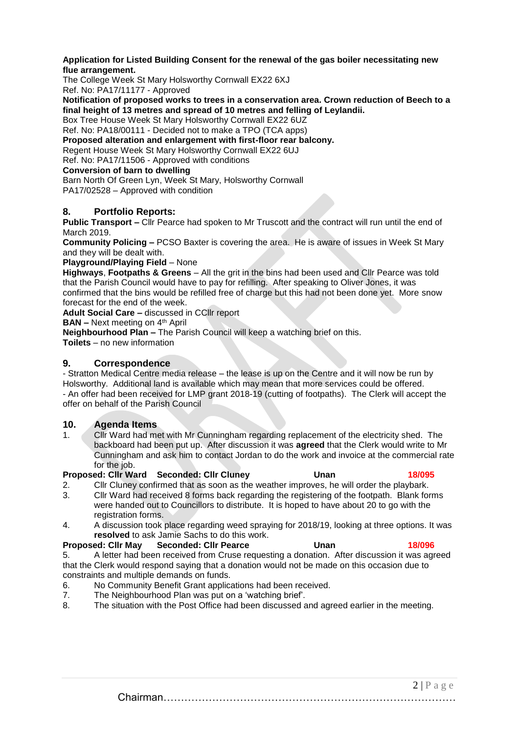**Application for Listed Building Consent [for the renewal of the gas boiler necessitating new](http://planning.cornwall.gov.uk/online-applications/applicationDetails.do?keyVal=OZVIVSFG1OU00&activeTab=summary)  [flue arrangement.](http://planning.cornwall.gov.uk/online-applications/applicationDetails.do?keyVal=OZVIVSFG1OU00&activeTab=summary)**

The College Week St Mary Holsworthy Cornwall EX22 6XJ

Ref. No: PA17/11177 - Approved

**[Notification of proposed works to trees in a conservation area. Crown reduction of Beech to a](http://planning.cornwall.gov.uk/online-applications/applicationDetails.do?keyVal=P22VLRFG1OU00&activeTab=summary)  [final height of 13 metres and spread of 10 metres and felling of Leylandii.](http://planning.cornwall.gov.uk/online-applications/applicationDetails.do?keyVal=P22VLRFG1OU00&activeTab=summary)**

Box Tree House Week St Mary Holsworthy Cornwall EX22 6UZ

Ref. No: PA18/00111 - Decided not to make a TPO (TCA apps)

**[Proposed alteration and enlargement with first-floor rear balcony.](http://planning.cornwall.gov.uk/online-applications/applicationDetails.do?keyVal=P0FS5FFGLVV00&activeTab=summary)**

Regent House Week St Mary Holsworthy Cornwall EX22 6UJ

Ref. No: PA17/11506 - Approved with conditions

#### **Conversion of barn to dwelling**

Barn North Of Green Lyn, Week St Mary, Holsworthy Cornwall

PA17/02528 – Approved with condition

#### **8. Portfolio Reports:**

**Public Transport –** Cllr Pearce had spoken to Mr Truscott and the contract will run until the end of March 2019.

**Community Policing –** PCSO Baxter is covering the area. He is aware of issues in Week St Mary and they will be dealt with.

**Playground/Playing Field** – None

**Highways**, **Footpaths & Greens** – All the grit in the bins had been used and Cllr Pearce was told that the Parish Council would have to pay for refilling. After speaking to Oliver Jones, it was confirmed that the bins would be refilled free of charge but this had not been done yet. More snow forecast for the end of the week.

**Adult Social Care –** discussed in CCllr report

**BAN –** Next meeting on 4<sup>th</sup> April

**Neighbourhood Plan –** The Parish Council will keep a watching brief on this.

**Toilets** – no new information

#### **9. Correspondence**

- Stratton Medical Centre media release – the lease is up on the Centre and it will now be run by Holsworthy. Additional land is available which may mean that more services could be offered. - An offer had been received for LMP grant 2018-19 (cutting of footpaths). The Clerk will accept the offer on behalf of the Parish Council

# **10. Agenda Items**

1. Cllr Ward had met with Mr Cunningham regarding replacement of the electricity shed. The backboard had been put up. After discussion it was **agreed** that the Clerk would write to Mr Cunningham and ask him to contact Jordan to do the work and invoice at the commercial rate for the job.

#### **Proposed: Cllr Ward Seconded: Cllr Cluney Unan 18/095**

- 2. Cllr Cluney confirmed that as soon as the weather improves, he will order the playbark.
- 3. Cllr Ward had received 8 forms back regarding the registering of the footpath. Blank forms were handed out to Councillors to distribute. It is hoped to have about 20 to go with the registration forms.
- 4. A discussion took place regarding weed spraying for 2018/19, looking at three options. It was **resolved** to ask Jamie Sachs to do this work.

#### **Proposed: Cllr May Seconded: Cllr Pearce Unan 18/096**

5. A letter had been received from Cruse requesting a donation. After discussion it was agreed that the Clerk would respond saying that a donation would not be made on this occasion due to constraints and multiple demands on funds.

- 6. No Community Benefit Grant applications had been received.
- 7. The Neighbourhood Plan was put on a 'watching brief'.<br>8. The situation with the Post Office had been discussed a
- The situation with the Post Office had been discussed and agreed earlier in the meeting.